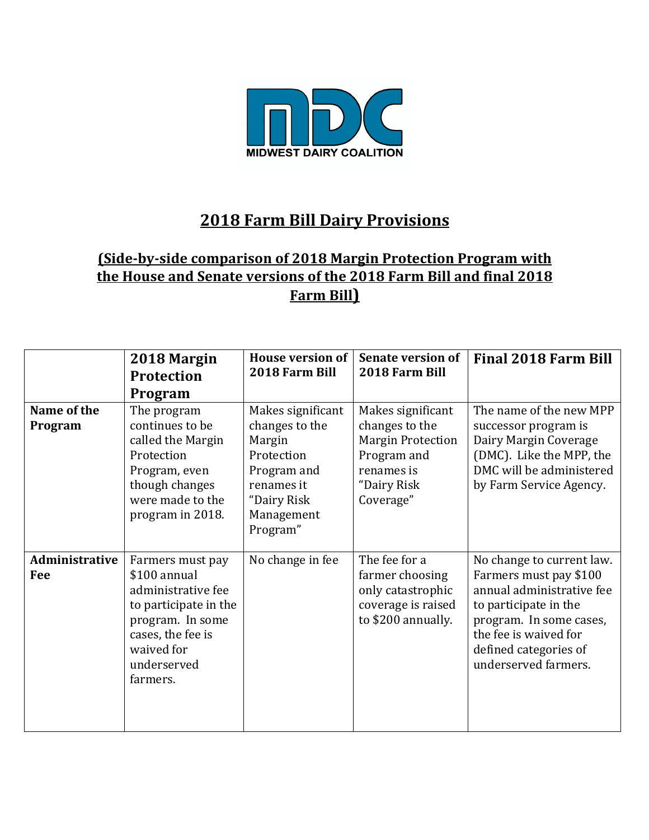

## **2018 Farm Bill Dairy Provisions**

## **(Side-by-side comparison of 2018 Margin Protection Program with** the House and Senate versions of the 2018 Farm Bill and final 2018 **Farm Bill)**

|                        | 2018 Margin<br><b>Protection</b><br>Program                                                                                                                       | <b>House version of</b><br>2018 Farm Bill                                                                                         | <b>Senate version of</b><br>2018 Farm Bill                                                                               | <b>Final 2018 Farm Bill</b>                                                                                                                                                                                    |
|------------------------|-------------------------------------------------------------------------------------------------------------------------------------------------------------------|-----------------------------------------------------------------------------------------------------------------------------------|--------------------------------------------------------------------------------------------------------------------------|----------------------------------------------------------------------------------------------------------------------------------------------------------------------------------------------------------------|
| Name of the<br>Program | The program<br>continues to be<br>called the Margin<br>Protection<br>Program, even<br>though changes<br>were made to the<br>program in 2018.                      | Makes significant<br>changes to the<br>Margin<br>Protection<br>Program and<br>renames it<br>"Dairy Risk<br>Management<br>Program" | Makes significant<br>changes to the<br><b>Margin Protection</b><br>Program and<br>renames is<br>"Dairy Risk<br>Coverage" | The name of the new MPP<br>successor program is<br>Dairy Margin Coverage<br>(DMC). Like the MPP, the<br>DMC will be administered<br>by Farm Service Agency.                                                    |
| Administrative<br>Fee  | Farmers must pay<br>\$100 annual<br>administrative fee<br>to participate in the<br>program. In some<br>cases, the fee is<br>waived for<br>underserved<br>farmers. | No change in fee                                                                                                                  | The fee for a<br>farmer choosing<br>only catastrophic<br>coverage is raised<br>to \$200 annually.                        | No change to current law.<br>Farmers must pay \$100<br>annual administrative fee<br>to participate in the<br>program. In some cases,<br>the fee is waived for<br>defined categories of<br>underserved farmers. |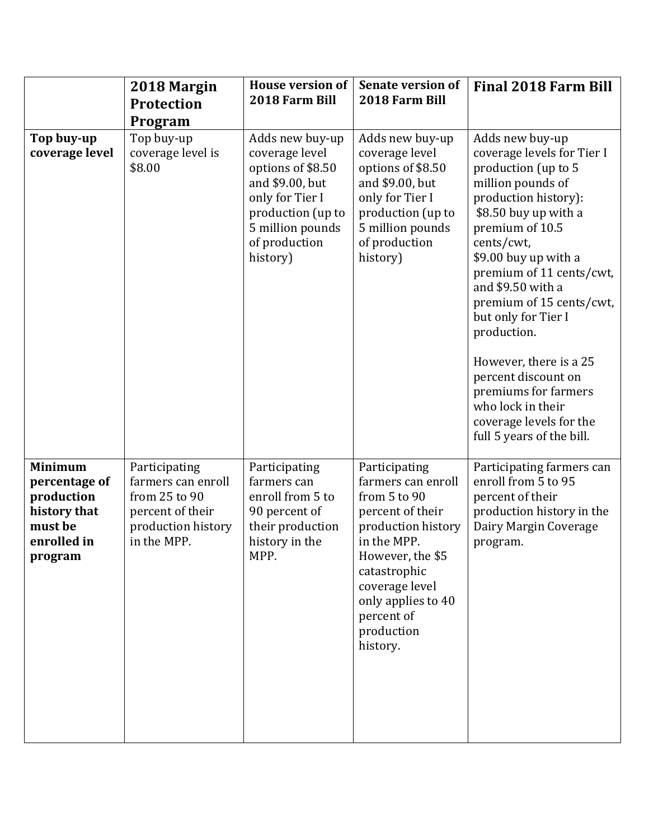|                                                                                                    | 2018 Margin<br><b>Protection</b><br>Program                                                                   | <b>House version of</b><br>2018 Farm Bill                                                                                                                          | <b>Senate version of</b><br>2018 Farm Bill                                                                                                                                                                                       | <b>Final 2018 Farm Bill</b>                                                                                                                                                                                                                                                                                                                                                                                                                                                 |
|----------------------------------------------------------------------------------------------------|---------------------------------------------------------------------------------------------------------------|--------------------------------------------------------------------------------------------------------------------------------------------------------------------|----------------------------------------------------------------------------------------------------------------------------------------------------------------------------------------------------------------------------------|-----------------------------------------------------------------------------------------------------------------------------------------------------------------------------------------------------------------------------------------------------------------------------------------------------------------------------------------------------------------------------------------------------------------------------------------------------------------------------|
| Top buy-up<br>coverage level                                                                       | Top buy-up<br>coverage level is<br>\$8.00                                                                     | Adds new buy-up<br>coverage level<br>options of \$8.50<br>and \$9.00, but<br>only for Tier I<br>production (up to<br>5 million pounds<br>of production<br>history) | Adds new buy-up<br>coverage level<br>options of \$8.50<br>and \$9.00, but<br>only for Tier I<br>production (up to<br>5 million pounds<br>of production<br>history)                                                               | Adds new buy-up<br>coverage levels for Tier I<br>production (up to 5<br>million pounds of<br>production history):<br>\$8.50 buy up with a<br>premium of 10.5<br>cents/cwt,<br>\$9.00 buy up with a<br>premium of 11 cents/cwt,<br>and \$9.50 with a<br>premium of 15 cents/cwt,<br>but only for Tier I<br>production.<br>However, there is a 25<br>percent discount on<br>premiums for farmers<br>who lock in their<br>coverage levels for the<br>full 5 years of the bill. |
| <b>Minimum</b><br>percentage of<br>production<br>history that<br>must be<br>enrolled in<br>program | Participating<br>farmers can enroll<br>from 25 to 90<br>percent of their<br>production history<br>in the MPP. | Participating<br>farmers can<br>enroll from 5 to<br>90 percent of<br>their production<br>history in the<br>MPP.                                                    | Participating<br>farmers can enroll<br>from 5 to 90<br>percent of their<br>production history<br>in the MPP.<br>However, the \$5<br>catastrophic<br>coverage level<br>only applies to 40<br>percent of<br>production<br>history. | Participating farmers can<br>enroll from 5 to 95<br>percent of their<br>production history in the<br>Dairy Margin Coverage<br>program.                                                                                                                                                                                                                                                                                                                                      |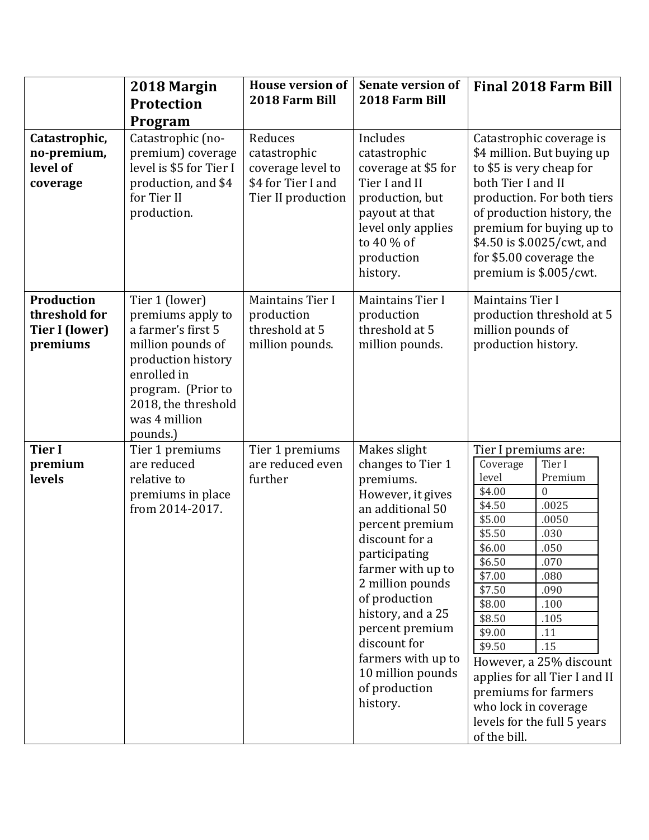|                                                                         | 2018 Margin<br><b>Protection</b><br>Program                                                                                                                                                   | <b>House version of</b><br>2018 Farm Bill                                                | <b>Senate version of</b><br>2018 Farm Bill                                                                                                                                                                                                                                                                                              | <b>Final 2018 Farm Bill</b>                                                                                                                                                                                                                                                                                                                                                                                                                           |
|-------------------------------------------------------------------------|-----------------------------------------------------------------------------------------------------------------------------------------------------------------------------------------------|------------------------------------------------------------------------------------------|-----------------------------------------------------------------------------------------------------------------------------------------------------------------------------------------------------------------------------------------------------------------------------------------------------------------------------------------|-------------------------------------------------------------------------------------------------------------------------------------------------------------------------------------------------------------------------------------------------------------------------------------------------------------------------------------------------------------------------------------------------------------------------------------------------------|
| Catastrophic,<br>no-premium,<br>level of<br>coverage                    | Catastrophic (no-<br>premium) coverage<br>level is \$5 for Tier I<br>production, and \$4<br>for Tier II<br>production.                                                                        | Reduces<br>catastrophic<br>coverage level to<br>\$4 for Tier I and<br>Tier II production | Includes<br>catastrophic<br>coverage at \$5 for<br>Tier I and II<br>production, but<br>payout at that<br>level only applies<br>to 40 % of<br>production<br>history.                                                                                                                                                                     | Catastrophic coverage is<br>\$4 million. But buying up<br>to \$5 is very cheap for<br>both Tier I and II<br>production. For both tiers<br>of production history, the<br>premium for buying up to<br>\$4.50 is \$.0025/cwt, and<br>for \$5.00 coverage the<br>premium is \$.005/cwt.                                                                                                                                                                   |
| <b>Production</b><br>threshold for<br><b>Tier I (lower)</b><br>premiums | Tier 1 (lower)<br>premiums apply to<br>a farmer's first 5<br>million pounds of<br>production history<br>enrolled in<br>program. (Prior to<br>2018, the threshold<br>was 4 million<br>pounds.) | <b>Maintains Tier I</b><br>production<br>threshold at 5<br>million pounds.               | Maintains Tier I<br>production<br>threshold at 5<br>million pounds.                                                                                                                                                                                                                                                                     | Maintains Tier I<br>production threshold at 5<br>million pounds of<br>production history.                                                                                                                                                                                                                                                                                                                                                             |
| <b>Tier I</b><br>premium<br>levels                                      | Tier 1 premiums<br>are reduced<br>relative to<br>premiums in place<br>from 2014-2017.                                                                                                         | Tier 1 premiums<br>are reduced even<br>further                                           | Makes slight<br>changes to Tier 1<br>premiums.<br>However, it gives<br>an additional 50<br>percent premium<br>discount for a<br>participating<br>farmer with up to<br>2 million pounds<br>of production<br>history, and a 25<br>percent premium<br>discount for<br>farmers with up to<br>10 million pounds<br>of production<br>history. | Tier I premiums are:<br>Coverage<br>Tier I<br>level<br>Premium<br>\$4.00<br>$\Omega$<br>.0025<br>\$4.50<br>\$5.00<br>.0050<br>\$5.50<br>.030<br>\$6.00<br>.050<br>\$6.50<br>.070<br>\$7.00<br>.080<br>\$7.50<br>.090<br>\$8.00<br>.100<br>\$8.50<br>.105<br>\$9.00<br>.11<br>\$9.50<br>.15<br>However, a 25% discount<br>applies for all Tier I and II<br>premiums for farmers<br>who lock in coverage<br>levels for the full 5 years<br>of the bill. |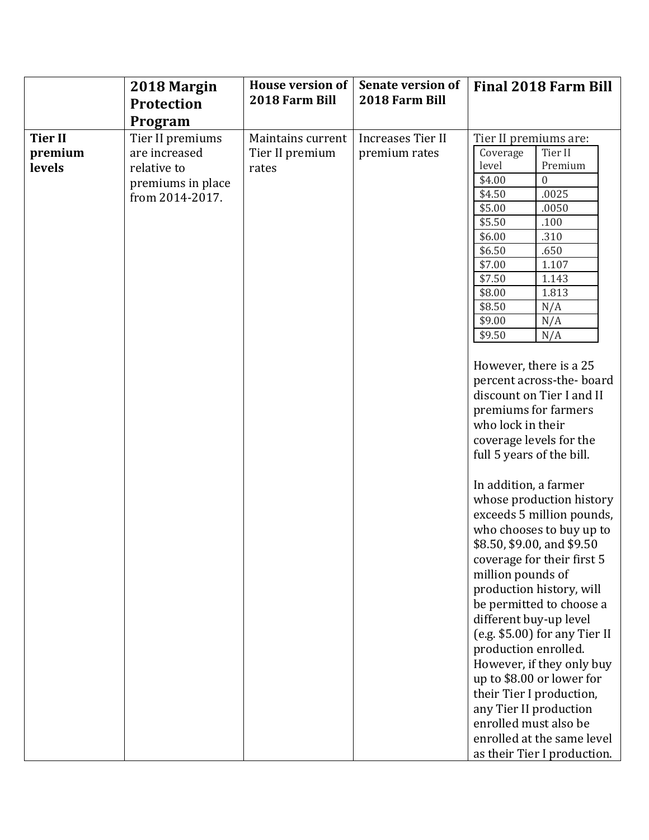|                                     | 2018 Margin<br><b>Protection</b>                                                                    | <b>House version of</b><br>2018 Farm Bill     | <b>Senate version of</b><br>2018 Farm Bill | <b>Final 2018 Farm Bill</b>                                                                                                                                                                                                                                                                                                                                                                                                                                                                                                                                                                                                                                                                                                                                                                                                                                                                                                                                                                                                            |
|-------------------------------------|-----------------------------------------------------------------------------------------------------|-----------------------------------------------|--------------------------------------------|----------------------------------------------------------------------------------------------------------------------------------------------------------------------------------------------------------------------------------------------------------------------------------------------------------------------------------------------------------------------------------------------------------------------------------------------------------------------------------------------------------------------------------------------------------------------------------------------------------------------------------------------------------------------------------------------------------------------------------------------------------------------------------------------------------------------------------------------------------------------------------------------------------------------------------------------------------------------------------------------------------------------------------------|
| <b>Tier II</b><br>premium<br>levels | Program<br>Tier II premiums<br>are increased<br>relative to<br>premiums in place<br>from 2014-2017. | Maintains current<br>Tier II premium<br>rates | <b>Increases Tier II</b><br>premium rates  | Tier II premiums are:<br>Tier II<br>Coverage<br>level<br>Premium<br>\$4.00<br>$\Omega$<br>\$4.50<br>.0025<br>\$5.00<br>.0050<br>\$5.50<br>.100<br>\$6.00<br>.310<br>\$6.50<br>.650<br>\$7.00<br>1.107<br>\$7.50<br>1.143<br>\$8.00<br>1.813<br>\$8.50<br>N/A<br>\$9.00<br>N/A<br>\$9.50<br>N/A<br>However, there is a 25<br>percent across-the-board<br>discount on Tier I and II<br>premiums for farmers<br>who lock in their<br>coverage levels for the<br>full 5 years of the bill.<br>In addition, a farmer<br>whose production history<br>exceeds 5 million pounds,<br>who chooses to buy up to<br>\$8.50, \$9.00, and \$9.50<br>coverage for their first 5<br>million pounds of<br>production history, will<br>be permitted to choose a<br>different buy-up level<br>(e.g. \$5.00) for any Tier II<br>production enrolled.<br>However, if they only buy<br>up to \$8.00 or lower for<br>their Tier I production,<br>any Tier II production<br>enrolled must also be<br>enrolled at the same level<br>as their Tier I production. |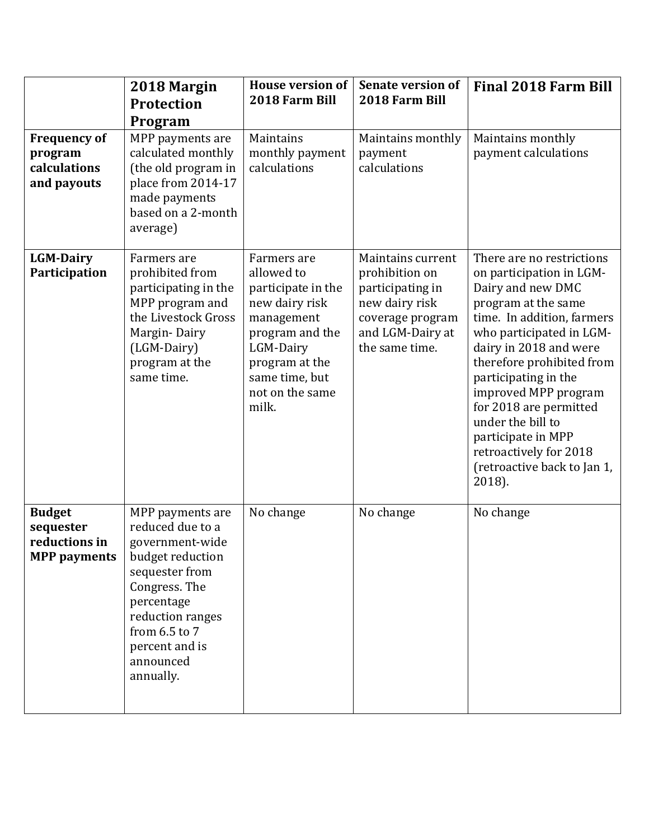|                                                                    | 2018 Margin<br>Protection<br>Program                                                                                                                                                                          | <b>House version of</b><br>2018 Farm Bill                                                                                                                                       | <b>Senate version of</b><br>2018 Farm Bill                                                                                          | <b>Final 2018 Farm Bill</b>                                                                                                                                                                                                                                                                                                                                                                                |
|--------------------------------------------------------------------|---------------------------------------------------------------------------------------------------------------------------------------------------------------------------------------------------------------|---------------------------------------------------------------------------------------------------------------------------------------------------------------------------------|-------------------------------------------------------------------------------------------------------------------------------------|------------------------------------------------------------------------------------------------------------------------------------------------------------------------------------------------------------------------------------------------------------------------------------------------------------------------------------------------------------------------------------------------------------|
| <b>Frequency of</b><br>program<br>calculations<br>and payouts      | MPP payments are<br>calculated monthly<br>(the old program in<br>place from 2014-17<br>made payments<br>based on a 2-month<br>average)                                                                        | Maintains<br>monthly payment<br>calculations                                                                                                                                    | Maintains monthly<br>payment<br>calculations                                                                                        | Maintains monthly<br>payment calculations                                                                                                                                                                                                                                                                                                                                                                  |
| <b>LGM-Dairy</b><br>Participation                                  | Farmers are<br>prohibited from<br>participating in the<br>MPP program and<br>the Livestock Gross<br>Margin-Dairy<br>(LGM-Dairy)<br>program at the<br>same time.                                               | Farmers are<br>allowed to<br>participate in the<br>new dairy risk<br>management<br>program and the<br>LGM-Dairy<br>program at the<br>same time, but<br>not on the same<br>milk. | Maintains current<br>prohibition on<br>participating in<br>new dairy risk<br>coverage program<br>and LGM-Dairy at<br>the same time. | There are no restrictions<br>on participation in LGM-<br>Dairy and new DMC<br>program at the same<br>time. In addition, farmers<br>who participated in LGM-<br>dairy in 2018 and were<br>therefore prohibited from<br>participating in the<br>improved MPP program<br>for 2018 are permitted<br>under the bill to<br>participate in MPP<br>retroactively for 2018<br>(retroactive back to Jan 1,<br>2018). |
| <b>Budget</b><br>sequester<br>reductions in<br><b>MPP</b> payments | MPP payments are<br>reduced due to a<br>government-wide<br>budget reduction<br>sequester from<br>Congress. The<br>percentage<br>reduction ranges<br>from 6.5 to 7<br>percent and is<br>announced<br>annually. | No change                                                                                                                                                                       | No change                                                                                                                           | No change                                                                                                                                                                                                                                                                                                                                                                                                  |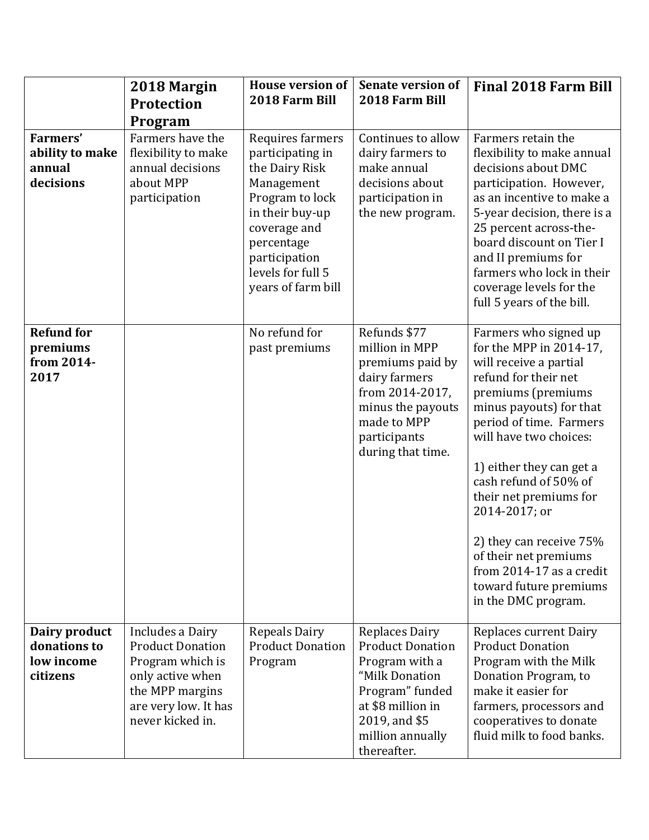|                                                           | 2018 Margin<br><b>Protection</b><br>Program                                                                                                        | <b>House version of</b><br>2018 Farm Bill                                                                                                                                                            | <b>Senate version of</b><br>2018 Farm Bill                                                                                                                                       | <b>Final 2018 Farm Bill</b>                                                                                                                                                                                                                                                                                                                                                                                                               |
|-----------------------------------------------------------|----------------------------------------------------------------------------------------------------------------------------------------------------|------------------------------------------------------------------------------------------------------------------------------------------------------------------------------------------------------|----------------------------------------------------------------------------------------------------------------------------------------------------------------------------------|-------------------------------------------------------------------------------------------------------------------------------------------------------------------------------------------------------------------------------------------------------------------------------------------------------------------------------------------------------------------------------------------------------------------------------------------|
| <b>Farmers'</b><br>ability to make<br>annual<br>decisions | Farmers have the<br>flexibility to make<br>annual decisions<br>about MPP<br>participation                                                          | Requires farmers<br>participating in<br>the Dairy Risk<br>Management<br>Program to lock<br>in their buy-up<br>coverage and<br>percentage<br>participation<br>levels for full 5<br>years of farm bill | Continues to allow<br>dairy farmers to<br>make annual<br>decisions about<br>participation in<br>the new program.                                                                 | Farmers retain the<br>flexibility to make annual<br>decisions about DMC<br>participation. However,<br>as an incentive to make a<br>5-year decision, there is a<br>25 percent across-the-<br>board discount on Tier I<br>and II premiums for<br>farmers who lock in their<br>coverage levels for the<br>full 5 years of the bill.                                                                                                          |
| <b>Refund for</b><br>premiums<br>from 2014-<br>2017       |                                                                                                                                                    | No refund for<br>past premiums                                                                                                                                                                       | Refunds \$77<br>million in MPP<br>premiums paid by<br>dairy farmers<br>from 2014-2017,<br>minus the payouts<br>made to MPP<br>participants<br>during that time.                  | Farmers who signed up<br>for the MPP in 2014-17,<br>will receive a partial<br>refund for their net<br>premiums (premiums<br>minus payouts) for that<br>period of time. Farmers<br>will have two choices:<br>1) either they can get a<br>cash refund of 50% of<br>their net premiums for<br>2014-2017; or<br>2) they can receive 75%<br>of their net premiums<br>from 2014-17 as a credit<br>toward future premiums<br>in the DMC program. |
| Dairy product<br>donations to<br>low income<br>citizens   | Includes a Dairy<br><b>Product Donation</b><br>Program which is<br>only active when<br>the MPP margins<br>are very low. It has<br>never kicked in. | <b>Repeals Dairy</b><br><b>Product Donation</b><br>Program                                                                                                                                           | <b>Replaces Dairy</b><br><b>Product Donation</b><br>Program with a<br>"Milk Donation<br>Program" funded<br>at \$8 million in<br>2019, and \$5<br>million annually<br>thereafter. | <b>Replaces current Dairy</b><br><b>Product Donation</b><br>Program with the Milk<br>Donation Program, to<br>make it easier for<br>farmers, processors and<br>cooperatives to donate<br>fluid milk to food banks.                                                                                                                                                                                                                         |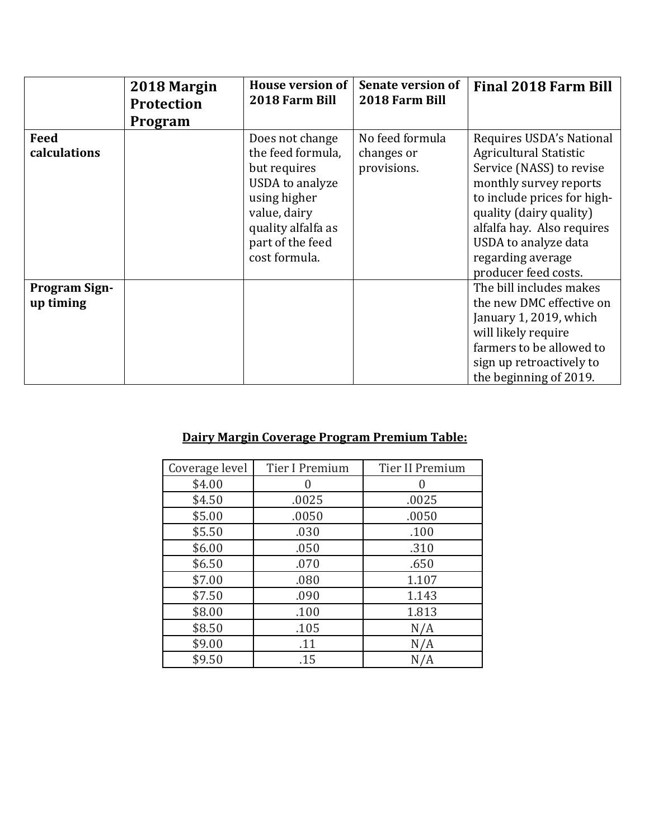|                                   | 2018 Margin<br><b>Protection</b><br>Program | <b>House version of</b><br>2018 Farm Bill                                                                                                                          | Senate version of<br>2018 Farm Bill          | <b>Final 2018 Farm Bill</b>                                                                                                                                                                                                                                           |
|-----------------------------------|---------------------------------------------|--------------------------------------------------------------------------------------------------------------------------------------------------------------------|----------------------------------------------|-----------------------------------------------------------------------------------------------------------------------------------------------------------------------------------------------------------------------------------------------------------------------|
| Feed<br>calculations              |                                             | Does not change<br>the feed formula,<br>but requires<br>USDA to analyze<br>using higher<br>value, dairy<br>quality alfalfa as<br>part of the feed<br>cost formula. | No feed formula<br>changes or<br>provisions. | Requires USDA's National<br>Agricultural Statistic<br>Service (NASS) to revise<br>monthly survey reports<br>to include prices for high-<br>quality (dairy quality)<br>alfalfa hay. Also requires<br>USDA to analyze data<br>regarding average<br>producer feed costs. |
| <b>Program Sign-</b><br>up timing |                                             |                                                                                                                                                                    |                                              | The bill includes makes<br>the new DMC effective on<br>January 1, 2019, which<br>will likely require<br>farmers to be allowed to<br>sign up retroactively to<br>the beginning of 2019.                                                                                |

## **Dairy Margin Coverage Program Premium Table:**

| Coverage level | Tier I Premium | Tier II Premium |
|----------------|----------------|-----------------|
| \$4.00         |                |                 |
| \$4.50         | .0025          | .0025           |
| \$5.00         | .0050          | .0050           |
| \$5.50         | .030           | .100            |
| \$6.00         | .050           | .310            |
| \$6.50         | .070           | .650            |
| \$7.00         | .080           | 1.107           |
| \$7.50         | .090           | 1.143           |
| \$8.00         | .100           | 1.813           |
| \$8.50         | .105           | N/A             |
| \$9.00         | .11            | N/A             |
| \$9.50         | .15            | N/A             |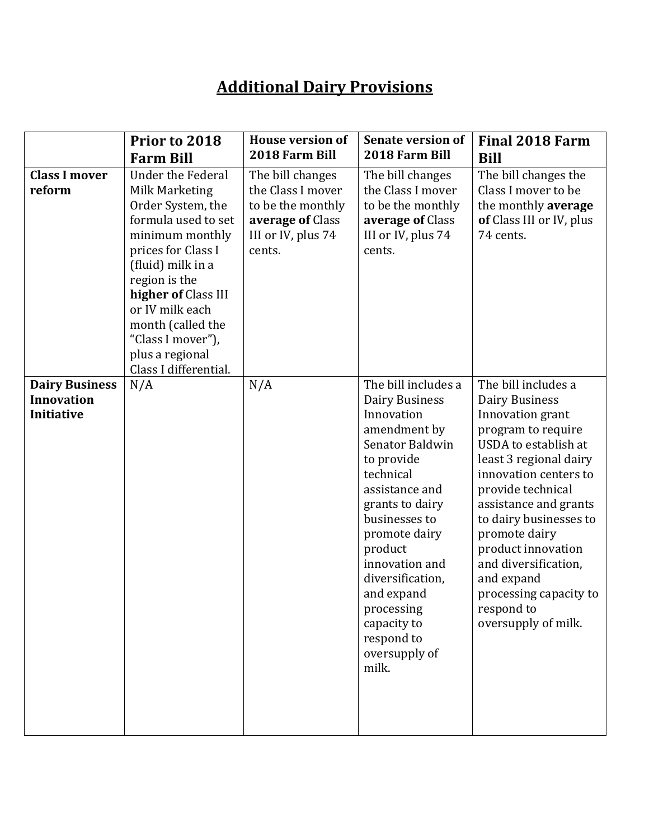## **Additional Dairy Provisions**

|                                                          | Prior to 2018<br><b>Farm Bill</b>                                                                                                                                                                                                                                                                     | <b>House version of</b><br>2018 Farm Bill                                                                      | <b>Senate version of</b><br>2018 Farm Bill                                                                                                                                                                                                                                                                                   | <b>Final 2018 Farm</b><br><b>Bill</b>                                                                                                                                                                                                                                                                                                                                                 |
|----------------------------------------------------------|-------------------------------------------------------------------------------------------------------------------------------------------------------------------------------------------------------------------------------------------------------------------------------------------------------|----------------------------------------------------------------------------------------------------------------|------------------------------------------------------------------------------------------------------------------------------------------------------------------------------------------------------------------------------------------------------------------------------------------------------------------------------|---------------------------------------------------------------------------------------------------------------------------------------------------------------------------------------------------------------------------------------------------------------------------------------------------------------------------------------------------------------------------------------|
| <b>Class I mover</b><br>reform                           | <b>Under the Federal</b><br>Milk Marketing<br>Order System, the<br>formula used to set<br>minimum monthly<br>prices for Class I<br>(fluid) milk in a<br>region is the<br>higher of Class III<br>or IV milk each<br>month (called the<br>"Class I mover"),<br>plus a regional<br>Class I differential. | The bill changes<br>the Class I mover<br>to be the monthly<br>average of Class<br>III or IV, plus 74<br>cents. | The bill changes<br>the Class I mover<br>to be the monthly<br>average of Class<br>III or IV, plus 74<br>cents.                                                                                                                                                                                                               | The bill changes the<br>Class I mover to be<br>the monthly average<br>of Class III or IV, plus<br>74 cents.                                                                                                                                                                                                                                                                           |
| <b>Dairy Business</b><br><b>Innovation</b><br>Initiative | N/A                                                                                                                                                                                                                                                                                                   | N/A                                                                                                            | The bill includes a<br>Dairy Business<br>Innovation<br>amendment by<br>Senator Baldwin<br>to provide<br>technical<br>assistance and<br>grants to dairy<br>businesses to<br>promote dairy<br>product<br>innovation and<br>diversification,<br>and expand<br>processing<br>capacity to<br>respond to<br>oversupply of<br>milk. | The bill includes a<br><b>Dairy Business</b><br>Innovation grant<br>program to require<br>USDA to establish at<br>least 3 regional dairy<br>innovation centers to<br>provide technical<br>assistance and grants<br>to dairy businesses to<br>promote dairy<br>product innovation<br>and diversification,<br>and expand<br>processing capacity to<br>respond to<br>oversupply of milk. |